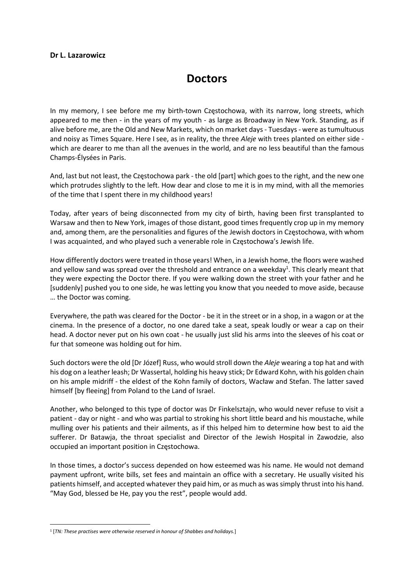## Dr L. Lazarowicz

## **Doctors**

In my memory, I see before me my birth-town Częstochowa, with its narrow, long streets, which appeared to me then - in the years of my youth - as large as Broadway in New York. Standing, as if alive before me, are the Old and New Markets, which on market days - Tuesdays - were as tumultuous and noisy as Times Square. Here I see, as in reality, the three Aleje with trees planted on either side which are dearer to me than all the avenues in the world, and are no less beautiful than the famous Champs-Élysées in Paris.

And, last but not least, the Częstochowa park - the old [part] which goes to the right, and the new one which protrudes slightly to the left. How dear and close to me it is in my mind, with all the memories of the time that I spent there in my childhood years!

Today, after years of being disconnected from my city of birth, having been first transplanted to Warsaw and then to New York, images of those distant, good times frequently crop up in my memory and, among them, are the personalities and figures of the Jewish doctors in Częstochowa, with whom I was acquainted, and who played such a venerable role in Częstochowa's Jewish life.

How differently doctors were treated in those years! When, in a Jewish home, the floors were washed and yellow sand was spread over the threshold and entrance on a weekday<sup>1</sup>. This clearly meant that they were expecting the Doctor there. If you were walking down the street with your father and he [suddenly] pushed you to one side, he was letting you know that you needed to move aside, because … the Doctor was coming.

Everywhere, the path was cleared for the Doctor - be it in the street or in a shop, in a wagon or at the cinema. In the presence of a doctor, no one dared take a seat, speak loudly or wear a cap on their head. A doctor never put on his own coat - he usually just slid his arms into the sleeves of his coat or fur that someone was holding out for him.

Such doctors were the old [Dr Józef] Russ, who would stroll down the Aleje wearing a top hat and with his dog on a leather leash; Dr Wassertal, holding his heavy stick; Dr Edward Kohn, with his golden chain on his ample midriff - the eldest of the Kohn family of doctors, Wacław and Stefan. The latter saved himself [by fleeing] from Poland to the Land of Israel.

Another, who belonged to this type of doctor was Dr Finkelsztajn, who would never refuse to visit a patient - day or night - and who was partial to stroking his short little beard and his moustache, while mulling over his patients and their ailments, as if this helped him to determine how best to aid the sufferer. Dr Batawja, the throat specialist and Director of the Jewish Hospital in Zawodzie, also occupied an important position in Częstochowa.

In those times, a doctor's success depended on how esteemed was his name. He would not demand payment upfront, write bills, set fees and maintain an office with a secretary. He usually visited his patients himself, and accepted whatever they paid him, or as much as was simply thrust into his hand. "May God, blessed be He, pay you the rest", people would add.

<sup>&</sup>lt;sup>1</sup> [TN: These practises were otherwise reserved in honour of Shabbes and holidays.]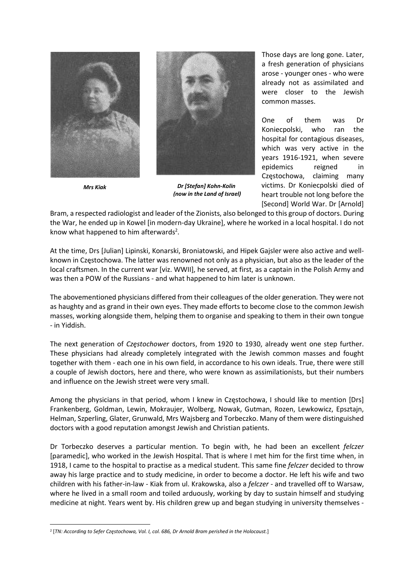





Mrs Kiak Dr [Stefan] Kohn-Kolin (now in the Land of Israel)

Those days are long gone. Later, a fresh generation of physicians arose - younger ones - who were already not as assimilated and were closer to the Jewish common masses.

One of them was Dr Koniecpolski, who ran the hospital for contagious diseases, which was very active in the years 1916-1921, when severe epidemics reigned in Częstochowa, claiming many victims. Dr Koniecpolski died of heart trouble not long before the [Second] World War. Dr [Arnold]

Bram, a respected radiologist and leader of the Zionists, also belonged to this group of doctors. During the War, he ended up in Kowel [in modern-day Ukraine], where he worked in a local hospital. I do not know what happened to him afterwards<sup>2</sup>.

At the time, Drs [Julian] Lipinski, Konarski, Broniatowski, and Hipek Gajsler were also active and wellknown in Częstochowa. The latter was renowned not only as a physician, but also as the leader of the local craftsmen. In the current war [viz. WWII], he served, at first, as a captain in the Polish Army and was then a POW of the Russians - and what happened to him later is unknown.

The abovementioned physicians differed from their colleagues of the older generation. They were not as haughty and as grand in their own eyes. They made efforts to become close to the common Jewish masses, working alongside them, helping them to organise and speaking to them in their own tongue - in Yiddish.

The next generation of Częstochower doctors, from 1920 to 1930, already went one step further. These physicians had already completely integrated with the Jewish common masses and fought together with them - each one in his own field, in accordance to his own ideals. True, there were still a couple of Jewish doctors, here and there, who were known as assimilationists, but their numbers and influence on the Jewish street were very small.

Among the physicians in that period, whom I knew in Częstochowa, I should like to mention [Drs] Frankenberg, Goldman, Lewin, Mokraujer, Wolberg, Nowak, Gutman, Rozen, Lewkowicz, Epsztajn, Helman, Szperling, Glater, Grunwald, Mrs Wajsberg and Torbeczko. Many of them were distinguished doctors with a good reputation amongst Jewish and Christian patients.

Dr Torbeczko deserves a particular mention. To begin with, he had been an excellent *felczer* [paramedic], who worked in the Jewish Hospital. That is where I met him for the first time when, in 1918, I came to the hospital to practise as a medical student. This same fine felczer decided to throw away his large practice and to study medicine, in order to become a doctor. He left his wife and two children with his father-in-law - Kiak from ul. Krakowska, also a felczer - and travelled off to Warsaw, where he lived in a small room and toiled arduously, working by day to sustain himself and studying medicine at night. Years went by. His children grew up and began studying in university themselves -

<sup>2</sup> [TN: According to Sefer Częstochowa, Vol. I, col. 686, Dr Arnold Bram perished in the Holocaust.]